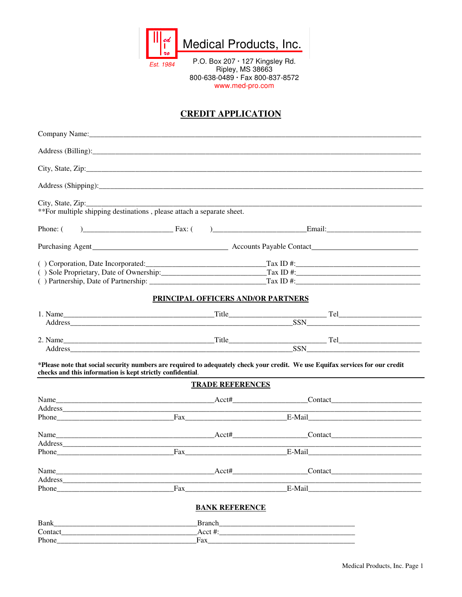

Est. 1984

P.O. Box 207 · 127 Kingsley Rd.<br>Ripley, MS 38663 800-638-0489 · Fax 800-837-8572 www.med-pro.com

## **CREDIT APPLICATION**

| Company Name:                                                                                                                                                                                |                                           |                         |  |
|----------------------------------------------------------------------------------------------------------------------------------------------------------------------------------------------|-------------------------------------------|-------------------------|--|
|                                                                                                                                                                                              |                                           |                         |  |
|                                                                                                                                                                                              |                                           |                         |  |
|                                                                                                                                                                                              |                                           |                         |  |
| **For multiple shipping destinations, please attach a separate sheet.                                                                                                                        |                                           |                         |  |
| Phone: (                                                                                                                                                                                     |                                           |                         |  |
|                                                                                                                                                                                              |                                           |                         |  |
|                                                                                                                                                                                              |                                           |                         |  |
|                                                                                                                                                                                              |                                           |                         |  |
|                                                                                                                                                                                              |                                           |                         |  |
|                                                                                                                                                                                              | <b>PRINCIPAL OFFICERS AND/OR PARTNERS</b> |                         |  |
|                                                                                                                                                                                              |                                           |                         |  |
|                                                                                                                                                                                              |                                           |                         |  |
|                                                                                                                                                                                              |                                           |                         |  |
| 2. Name Title Title Tel                                                                                                                                                                      |                                           |                         |  |
| *Please note that social security numbers are required to adequately check your credit. We use Equifax services for our credit<br>checks and this information is kept strictly confidential. |                                           |                         |  |
|                                                                                                                                                                                              | <b>TRADE REFERENCES</b>                   |                         |  |
|                                                                                                                                                                                              |                                           |                         |  |
|                                                                                                                                                                                              |                                           |                         |  |
|                                                                                                                                                                                              |                                           |                         |  |
|                                                                                                                                                                                              |                                           |                         |  |
|                                                                                                                                                                                              |                                           |                         |  |
|                                                                                                                                                                                              |                                           |                         |  |
|                                                                                                                                                                                              |                                           |                         |  |
|                                                                                                                                                                                              |                                           |                         |  |
| Phone                                                                                                                                                                                        |                                           | E-Mail                  |  |
|                                                                                                                                                                                              | <b>BANK REFERENCE</b>                     |                         |  |
|                                                                                                                                                                                              |                                           | Branch <b>Execution</b> |  |
|                                                                                                                                                                                              |                                           |                         |  |
|                                                                                                                                                                                              | Fax                                       |                         |  |
|                                                                                                                                                                                              |                                           |                         |  |